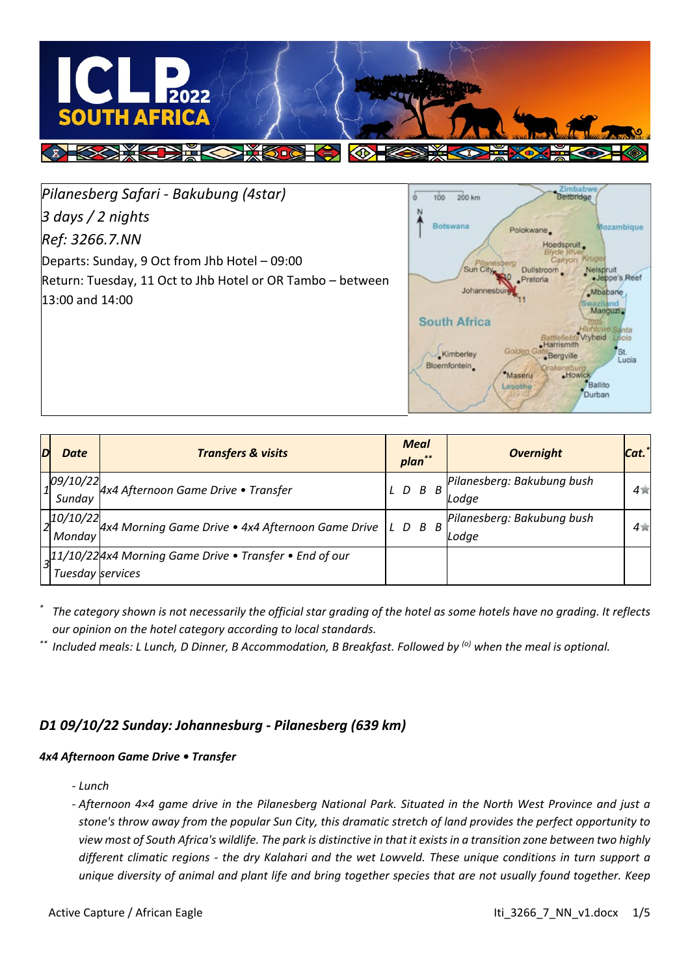

*Pilanesberg Safari - Bakubung (4star) 3 days / 2 nights Ref: 3266.7.NN* Departs: Sunday, 9 Oct from Jhb Hotel – 09:00 Return: Tuesday, 11 Oct to Jhb Hotel or OR Tambo – between 13:00 and 14:00



| D | Date             | <b>Transfers &amp; visits</b>                                             |                 | <b>Meal</b><br>plan** |   | <b>Overnight</b>           | Cat.   |
|---|------------------|---------------------------------------------------------------------------|-----------------|-----------------------|---|----------------------------|--------|
|   | 09/10/22         | 4x4 Afternoon Game Drive • Transfer                                       | $L$ $D$ $B$ $B$ |                       |   | Pilanesberg: Bakubung bush | $4\pi$ |
|   | Sunday           |                                                                           |                 |                       |   | Lodae                      |        |
|   | 10/10/22         | 4x4 Morning Game Drive • 4x4 Afternoon Game Drive                         |                 | L D B                 | B | Pilanesberg: Bakubung bush | $4\pi$ |
|   | Monday           |                                                                           |                 |                       |   | Lodge                      |        |
|   |                  | $\lfloor 11/10/22 \rfloor$ 4x4 Morning Game Drive • Transfer • End of our |                 |                       |   |                            |        |
|   | Tuesday services |                                                                           |                 |                       |   |                            |        |

*\* The category shown is not necessarily the official star grading of the hotel as some hotels have no grading. It reflects our opinion on the hotel category according to local standards.*

*\*\* Included meals: L Lunch, D Dinner, B Accommodation, B Breakfast. Followed by (o) when the meal is optional.*

# *D1 09/10/22 Sunday: Johannesburg - Pilanesberg (639 km)*

## *4x4 Afternoon Game Drive • Transfer*

*- Lunch*

*- Afternoon 4×4 game drive in the Pilanesberg National Park. Situated in the North West Province and just a stone's throw away from the popular Sun City, this dramatic stretch of land provides the perfect opportunity to view most of South Africa's wildlife. The park is distinctive in that it exists in a transition zone between two highly different climatic regions - the dry Kalahari and the wet Lowveld. These unique conditions in turn support a unique diversity of animal and plant life and bring together species that are not usually found together. Keep*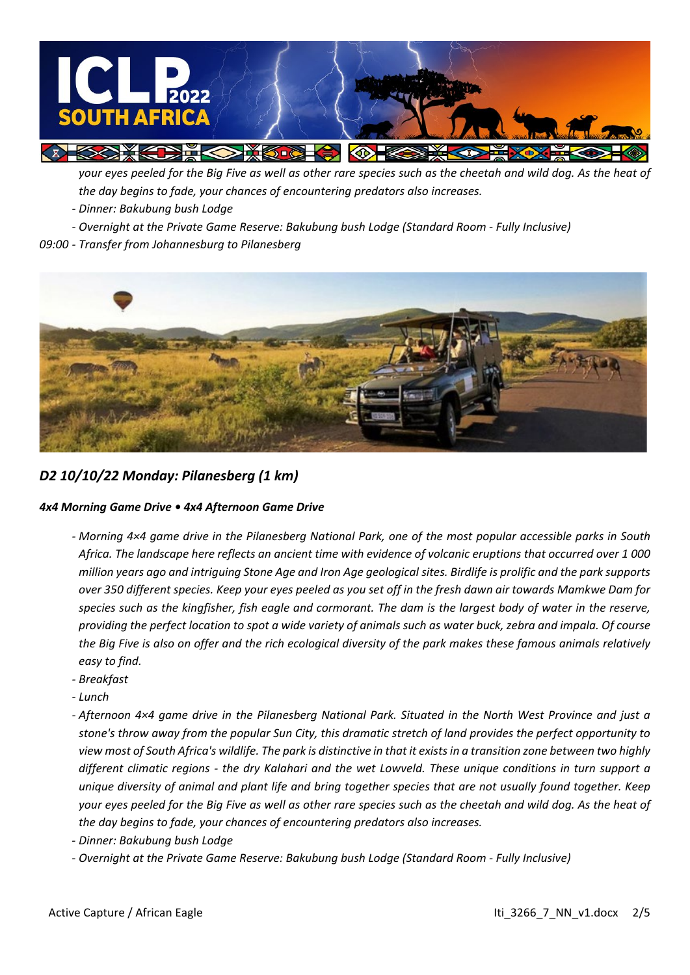

*your eyes peeled for the Big Five as well as other rare species such as the cheetah and wild dog. As the heat of the day begins to fade, your chances of encountering predators also increases.*

- *- Dinner: Bakubung bush Lodge*
- *- Overnight at the Private Game Reserve: Bakubung bush Lodge (Standard Room - Fully Inclusive)*

## *09:00 - Transfer from Johannesburg to Pilanesberg*



*D2 10/10/22 Monday: Pilanesberg (1 km)*

## *4x4 Morning Game Drive • 4x4 Afternoon Game Drive*

- *- Morning 4×4 game drive in the Pilanesberg National Park, one of the most popular accessible parks in South Africa. The landscape here reflects an ancient time with evidence of volcanic eruptions that occurred over 1 000 million years ago and intriguing Stone Age and Iron Age geological sites. Birdlife is prolific and the park supports over 350 different species. Keep your eyes peeled as you set off in the fresh dawn air towards Mamkwe Dam for species such as the kingfisher, fish eagle and cormorant. The dam is the largest body of water in the reserve, providing the perfect location to spot a wide variety of animals such as water buck, zebra and impala. Of course the Big Five is also on offer and the rich ecological diversity of the park makes these famous animals relatively easy to find.*
- *- Breakfast*
- *- Lunch*
- *- Afternoon 4×4 game drive in the Pilanesberg National Park. Situated in the North West Province and just a stone's throw away from the popular Sun City, this dramatic stretch of land provides the perfect opportunity to view most of South Africa's wildlife. The park is distinctive in that it exists in a transition zone between two highly different climatic regions - the dry Kalahari and the wet Lowveld. These unique conditions in turn support a unique diversity of animal and plant life and bring together species that are not usually found together. Keep your eyes peeled for the Big Five as well as other rare species such as the cheetah and wild dog. As the heat of the day begins to fade, your chances of encountering predators also increases.*
- *- Dinner: Bakubung bush Lodge*
- *- Overnight at the Private Game Reserve: Bakubung bush Lodge (Standard Room - Fully Inclusive)*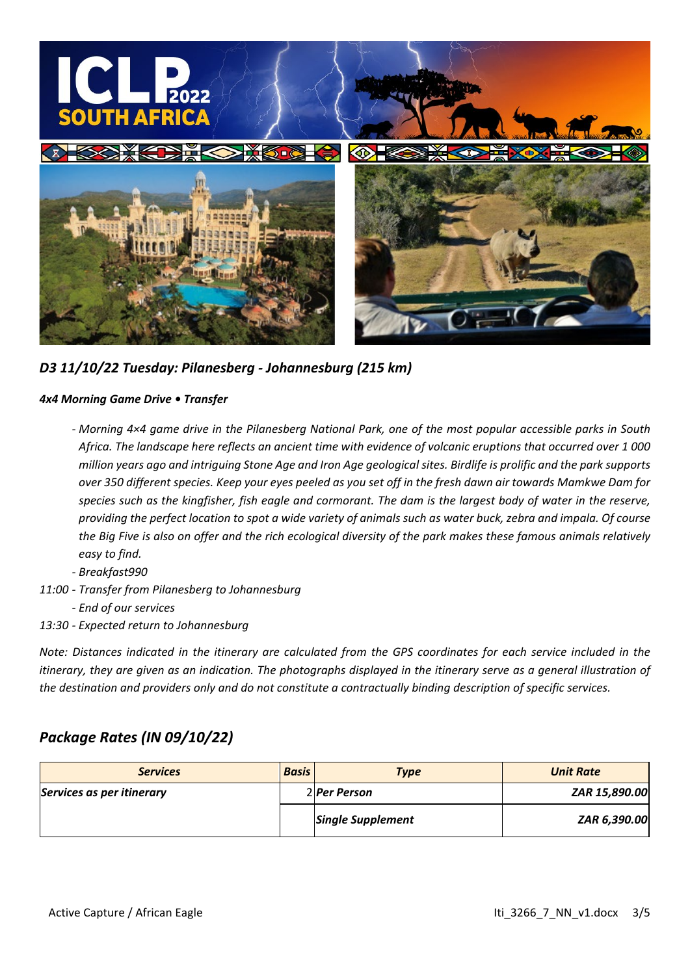

*D3 11/10/22 Tuesday: Pilanesberg - Johannesburg (215 km)*

## *4x4 Morning Game Drive • Transfer*

- *- Morning 4×4 game drive in the Pilanesberg National Park, one of the most popular accessible parks in South Africa. The landscape here reflects an ancient time with evidence of volcanic eruptions that occurred over 1 000 million years ago and intriguing Stone Age and Iron Age geological sites. Birdlife is prolific and the park supports over 350 different species. Keep your eyes peeled as you set off in the fresh dawn air towards Mamkwe Dam for species such as the kingfisher, fish eagle and cormorant. The dam is the largest body of water in the reserve, providing the perfect location to spot a wide variety of animals such as water buck, zebra and impala. Of course the Big Five is also on offer and the rich ecological diversity of the park makes these famous animals relatively easy to find.*
- *- Breakfast990*
- *11:00 - Transfer from Pilanesberg to Johannesburg*
	- *- End of our services*
- *13:30 - Expected return to Johannesburg*

*Note: Distances indicated in the itinerary are calculated from the GPS coordinates for each service included in the itinerary, they are given as an indication. The photographs displayed in the itinerary serve as a general illustration of the destination and providers only and do not constitute a contractually binding description of specific services.*

# *Package Rates (IN 09/10/22)*

| <b>Services</b>           | <b>Basis</b> | <b>Type</b>              | <b>Unit Rate</b> |
|---------------------------|--------------|--------------------------|------------------|
| Services as per itinerary |              | 2 Per Person             | ZAR 15,890.00    |
|                           |              | <b>Single Supplement</b> | ZAR 6,390.00     |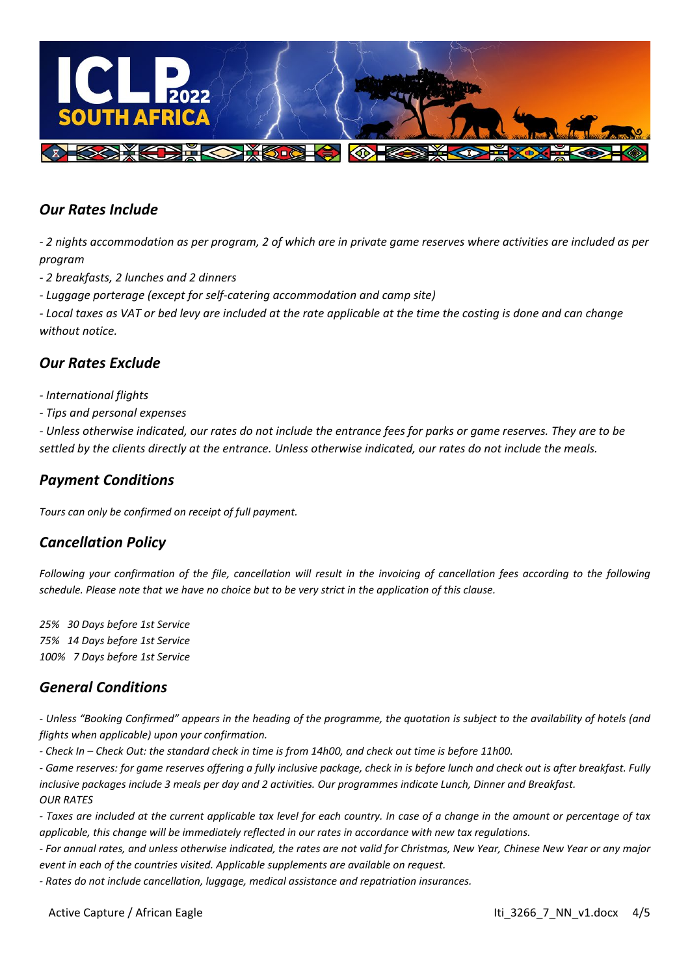

# *Our Rates Include*

*- 2 nights accommodation as per program, 2 of which are in private game reserves where activities are included as per program*

*- 2 breakfasts, 2 lunches and 2 dinners*

*- Luggage porterage (except for self-catering accommodation and camp site)*

*- Local taxes as VAT or bed levy are included at the rate applicable at the time the costing is done and can change without notice.*

## *Our Rates Exclude*

- *- International flights*
- *- Tips and personal expenses*

*- Unless otherwise indicated, our rates do not include the entrance fees for parks or game reserves. They are to be settled by the clients directly at the entrance. Unless otherwise indicated, our rates do not include the meals.*

# *Payment Conditions*

*Tours can only be confirmed on receipt of full payment.*

# *Cancellation Policy*

*Following your confirmation of the file, cancellation will result in the invoicing of cancellation fees according to the following schedule. Please note that we have no choice but to be very strict in the application of this clause.*

*25% 30 Days before 1st Service 75% 14 Days before 1st Service 100% 7 Days before 1st Service* 

# *General Conditions*

*- Unless "Booking Confirmed" appears in the heading of the programme, the quotation is subject to the availability of hotels (and flights when applicable) upon your confirmation.*

*- Check In – Check Out: the standard check in time is from 14h00, and check out time is before 11h00.* 

*- Game reserves: for game reserves offering a fully inclusive package, check in is before lunch and check out is after breakfast. Fully inclusive packages include 3 meals per day and 2 activities. Our programmes indicate Lunch, Dinner and Breakfast. OUR RATES*

*- Taxes are included at the current applicable tax level for each country. In case of a change in the amount or percentage of tax applicable, this change will be immediately reflected in our rates in accordance with new tax regulations.*

*- For annual rates, and unless otherwise indicated, the rates are not valid for Christmas, New Year, Chinese New Year or any major event in each of the countries visited. Applicable supplements are available on request.*

*- Rates do not include cancellation, luggage, medical assistance and repatriation insurances.*